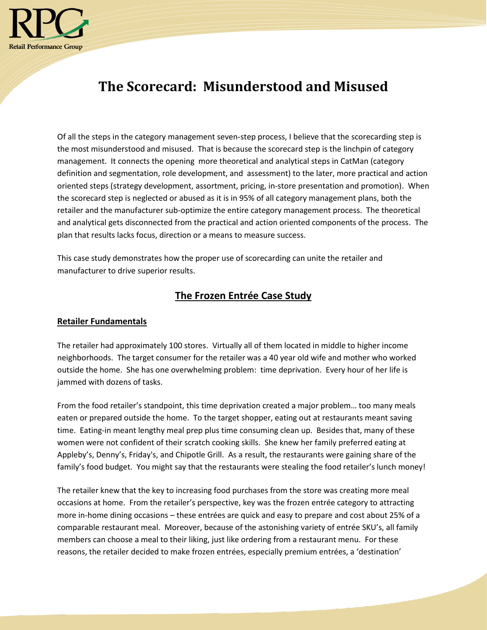

# **The Scorecard: Misunderstood and Misused**

Of all the steps in the category management seven-step process, I believe that the scorecarding step is the most misunderstood and misused. That is because the scorecard step is the linchpin of category management. It connects the opening more theoretical and analytical steps in CatMan (category definition and segmentation, role development, and assessment) to the later, more practical and action oriented steps (strategy development, assortment, pricing, in-store presentation and promotion). When the scorecard step is neglected or abused as it is in 95% of all category management plans, both the retailer and the manufacturer sub-optimize the entire category management process. The theoretical and analytical gets disconnected from the practical and action oriented components of the process. The plan that results lacks focus, direction or a means to measure success.

This case study demonstrates how the proper use of scorecarding can unite the retailer and manufacturer to drive superior results.

# **The Frozen Entrée Case Study**

### **Retailer Fundamentals**

The retailer had approximately 100 stores. Virtually all of them located in middle to higher income neighborhoods. The target consumer for the retailer was a 40 year old wife and mother who worked outside the home. She has one overwhelming problem: time deprivation. Every hour of her life is jammed with dozens of tasks.

From the food retailer's standpoint, this time deprivation created a major problem… too many meals eaten or prepared outside the home. To the target shopper, eating out at restaurants meant saving time. Eating-in meant lengthy meal prep plus time consuming clean up. Besides that, many of these women were not confident of their scratch cooking skills. She knew her family preferred eating at Appleby's, Denny's, Friday's, and Chipotle Grill. As a result, the restaurants were gaining share of the family's food budget. You might say that the restaurants were stealing the food retailer's lunch money!

The retailer knew that the key to increasing food purchases from the store was creating more meal occasions at home. From the retailer's perspective, key was the frozen entrée category to attracting more in-home dining occasions – these entrées are quick and easy to prepare and cost about 25% of a comparable restaurant meal. Moreover, because of the astonishing variety of entrée SKU's, all family members can choose a meal to their liking, just like ordering from a restaurant menu. For these reasons, the retailer decided to make frozen entrées, especially premium entrées, a 'destination'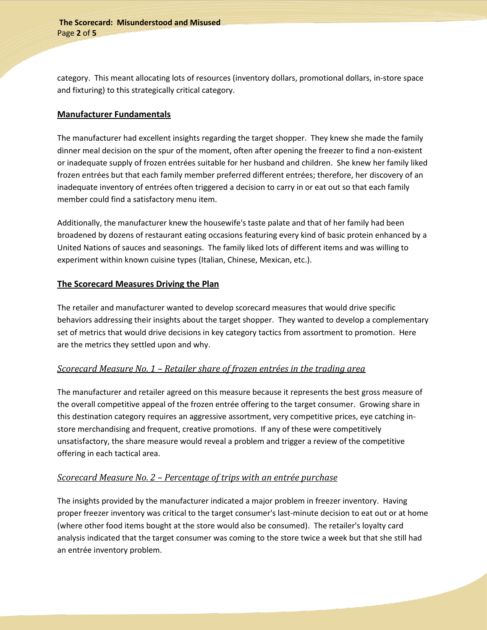category. This meant allocating lots of resources (inventory dollars, promotional dollars, in-store space and fixturing) to this strategically critical category.

#### **Manufacturer Fundamentals**

The manufacturer had excellent insights regarding the target shopper. They knew she made the family dinner meal decision on the spur of the moment, often after opening the freezer to find a non-existent or inadequate supply of frozen entrées suitable for her husband and children. She knew her family liked frozen entrées but that each family member preferred different entrées; therefore, her discovery of an inadequate inventory of entrées often triggered a decision to carry in or eat out so that each family member could find a satisfactory menu item.

Additionally, the manufacturer knew the housewife's taste palate and that of her family had been broadened by dozens of restaurant eating occasions featuring every kind of basic protein enhanced by a United Nations of sauces and seasonings. The family liked lots of different items and was willing to experiment within known cuisine types (Italian, Chinese, Mexican, etc.).

### **The Scorecard Measures Driving the Plan**

The retailer and manufacturer wanted to develop scorecard measures that would drive specific behaviors addressing their insights about the target shopper. They wanted to develop a complementary set of metrics that would drive decisions in key category tactics from assortment to promotion. Here are the metrics they settled upon and why.

### *Scorecard Measure No. 1 – Retailer share of frozen entrées in the trading area*

The manufacturer and retailer agreed on this measure because it represents the best gross measure of the overall competitive appeal of the frozen entrée offering to the target consumer. Growing share in this destination category requires an aggressive assortment, very competitive prices, eye catching instore merchandising and frequent, creative promotions. If any of these were competitively unsatisfactory, the share measure would reveal a problem and trigger a review of the competitive offering in each tactical area.

### *Scorecard Measure No. 2 – Percentage of trips with an entrée purchase*

The insights provided by the manufacturer indicated a major problem in freezer inventory. Having proper freezer inventory was critical to the target consumer's last-minute decision to eat out or at home (where other food items bought at the store would also be consumed). The retailer's loyalty card analysis indicated that the target consumer was coming to the store twice a week but that she still had an entrée inventory problem.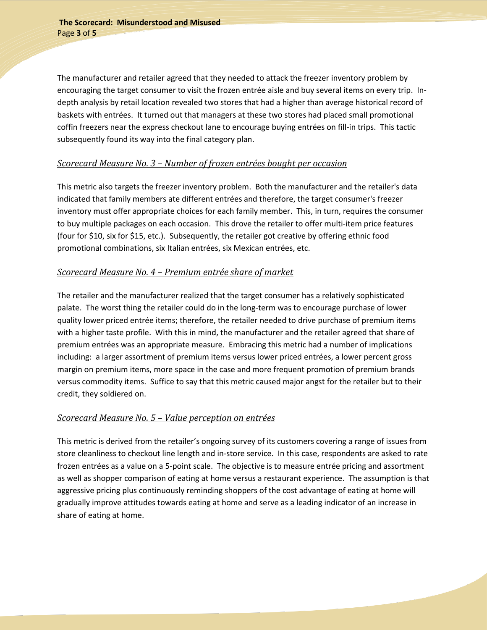The manufacturer and retailer agreed that they needed to attack the freezer inventory problem by encouraging the target consumer to visit the frozen entrée aisle and buy several items on every trip. Indepth analysis by retail location revealed two stores that had a higher than average historical record of baskets with entrées. It turned out that managers at these two stores had placed small promotional coffin freezers near the express checkout lane to encourage buying entrées on fill-in trips. This tactic subsequently found its way into the final category plan.

### *Scorecard Measure No. 3 – Number of frozen entrées bought per occasion*

This metric also targets the freezer inventory problem. Both the manufacturer and the retailer's data indicated that family members ate different entrées and therefore, the target consumer's freezer inventory must offer appropriate choices for each family member. This, in turn, requires the consumer to buy multiple packages on each occasion. This drove the retailer to offer multi-item price features (four for \$10, six for \$15, etc.). Subsequently, the retailer got creative by offering ethnic food promotional combinations, six Italian entrées, six Mexican entrées, etc.

# *Scorecard Measure No. 4 – Premium entrée share of market*

The retailer and the manufacturer realized that the target consumer has a relatively sophisticated palate. The worst thing the retailer could do in the long-term was to encourage purchase of lower quality lower priced entrée items; therefore, the retailer needed to drive purchase of premium items with a higher taste profile. With this in mind, the manufacturer and the retailer agreed that share of premium entrées was an appropriate measure. Embracing this metric had a number of implications including: a larger assortment of premium items versus lower priced entrées, a lower percent gross margin on premium items, more space in the case and more frequent promotion of premium brands versus commodity items. Suffice to say that this metric caused major angst for the retailer but to their credit, they soldiered on.

### *Scorecard Measure No. 5 – Value perception on entrées*

This metric is derived from the retailer's ongoing survey of its customers covering a range of issues from store cleanliness to checkout line length and in-store service. In this case, respondents are asked to rate frozen entrées as a value on a 5-point scale. The objective is to measure entrée pricing and assortment as well as shopper comparison of eating at home versus a restaurant experience. The assumption is that aggressive pricing plus continuously reminding shoppers of the cost advantage of eating at home will gradually improve attitudes towards eating at home and serve as a leading indicator of an increase in share of eating at home.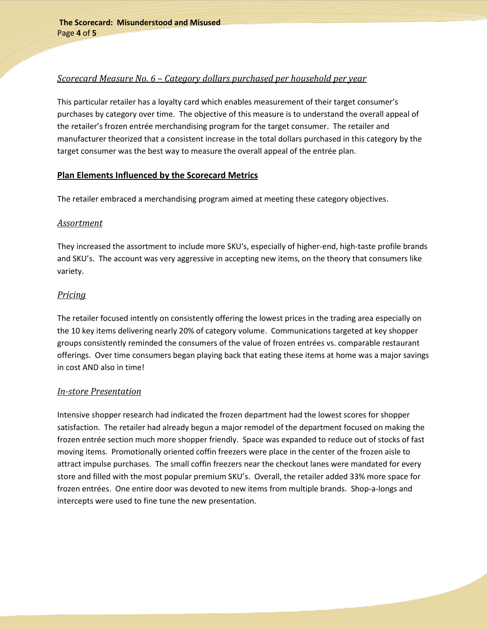## *Scorecard Measure No. 6 – Category dollars purchased per household per year*

This particular retailer has a loyalty card which enables measurement of their target consumer's purchases by category over time. The objective of this measure is to understand the overall appeal of the retailer's frozen entrée merchandising program for the target consumer. The retailer and manufacturer theorized that a consistent increase in the total dollars purchased in this category by the target consumer was the best way to measure the overall appeal of the entrée plan.

#### **Plan Elements Influenced by the Scorecard Metrics**

The retailer embraced a merchandising program aimed at meeting these category objectives.

#### *Assortment*

They increased the assortment to include more SKU's, especially of higher-end, high-taste profile brands and SKU's. The account was very aggressive in accepting new items, on the theory that consumers like variety.

### *Pricing*

The retailer focused intently on consistently offering the lowest prices in the trading area especially on the 10 key items delivering nearly 20% of category volume. Communications targeted at key shopper groups consistently reminded the consumers of the value of frozen entrées vs. comparable restaurant offerings. Over time consumers began playing back that eating these items at home was a major savings in cost AND also in time!

### *In-store Presentation*

Intensive shopper research had indicated the frozen department had the lowest scores for shopper satisfaction. The retailer had already begun a major remodel of the department focused on making the frozen entrée section much more shopper friendly. Space was expanded to reduce out of stocks of fast moving items. Promotionally oriented coffin freezers were place in the center of the frozen aisle to attract impulse purchases. The small coffin freezers near the checkout lanes were mandated for every store and filled with the most popular premium SKU's. Overall, the retailer added 33% more space for frozen entrées. One entire door was devoted to new items from multiple brands. Shop-a-longs and intercepts were used to fine tune the new presentation.